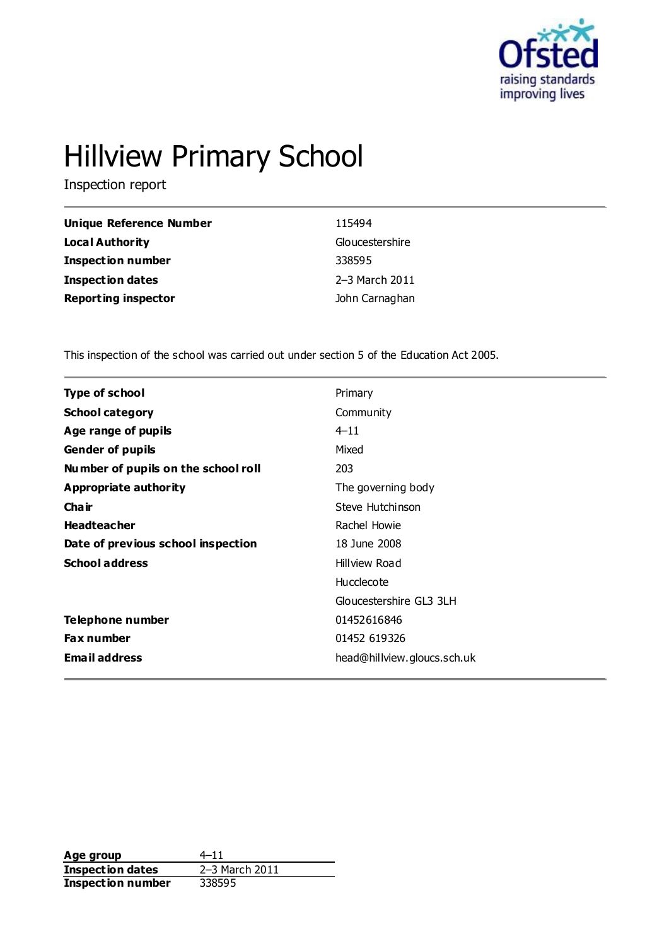

# Hillview Primary School

Inspection report

| <b>Unique Reference Number</b> | 115494          |
|--------------------------------|-----------------|
| Local Authority                | Gloucestershire |
| <b>Inspection number</b>       | 338595          |
| <b>Inspection dates</b>        | 2-3 March 2011  |
| <b>Reporting inspector</b>     | John Carnaghan  |

This inspection of the school was carried out under section 5 of the Education Act 2005.

| Type of school                      | Primary                     |  |
|-------------------------------------|-----------------------------|--|
| <b>School category</b>              | Community                   |  |
| Age range of pupils                 | $4 - 11$                    |  |
| <b>Gender of pupils</b>             | Mixed                       |  |
| Number of pupils on the school roll | 203                         |  |
| Appropriate authority               | The governing body          |  |
| Cha ir                              | Steve Hutchinson            |  |
| <b>Headteacher</b>                  | Rachel Howie                |  |
| Date of previous school inspection  | 18 June 2008                |  |
| <b>School address</b>               | Hillview Road               |  |
|                                     | Hucclecote                  |  |
|                                     | Gloucestershire GL3 3LH     |  |
| Telephone number                    | 01452616846                 |  |
| <b>Fax number</b>                   | 01452 619326                |  |
| <b>Email address</b>                | head@hillview.gloucs.sch.uk |  |
|                                     |                             |  |

**Age group** 4–11<br> **Inspection dates** 2–3 March 2011 **Inspection dates** 2–3 March 2–3 March 2011 **Inspection number**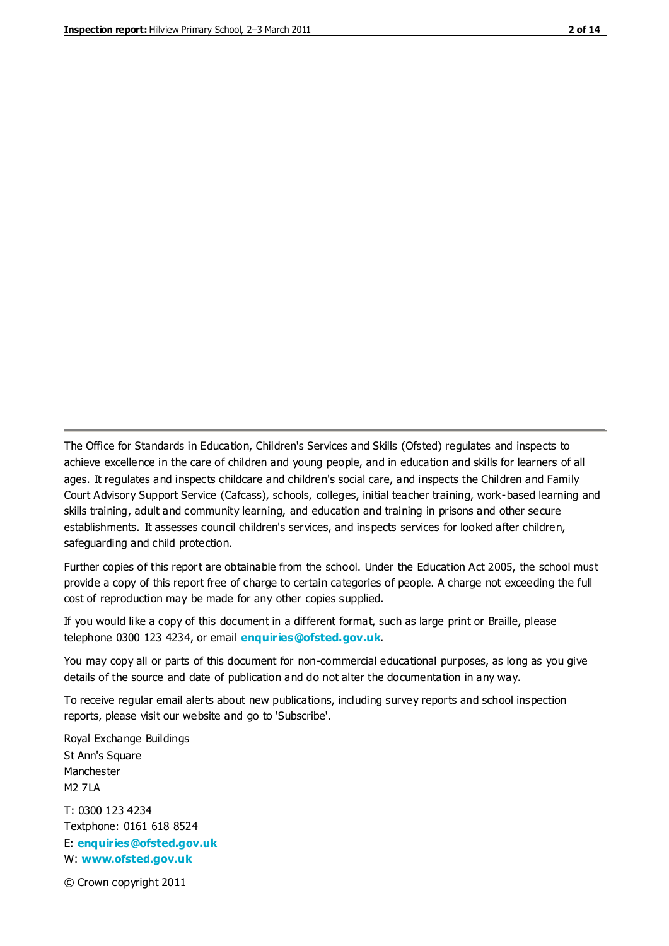The Office for Standards in Education, Children's Services and Skills (Ofsted) regulates and inspects to achieve excellence in the care of children and young people, and in education and skills for learners of all ages. It regulates and inspects childcare and children's social care, and inspects the Children and Family Court Advisory Support Service (Cafcass), schools, colleges, initial teacher training, work-based learning and skills training, adult and community learning, and education and training in prisons and other secure establishments. It assesses council children's services, and inspects services for looked after children, safeguarding and child protection.

Further copies of this report are obtainable from the school. Under the Education Act 2005, the school must provide a copy of this report free of charge to certain categories of people. A charge not exceeding the full cost of reproduction may be made for any other copies supplied.

If you would like a copy of this document in a different format, such as large print or Braille, please telephone 0300 123 4234, or email **[enquiries@ofsted.gov.uk](mailto:enquiries@ofsted.gov.uk)**.

You may copy all or parts of this document for non-commercial educational purposes, as long as you give details of the source and date of publication and do not alter the documentation in any way.

To receive regular email alerts about new publications, including survey reports and school inspection reports, please visit our website and go to 'Subscribe'.

Royal Exchange Buildings St Ann's Square Manchester M2 7LA T: 0300 123 4234 Textphone: 0161 618 8524 E: **[enquiries@ofsted.gov.uk](mailto:enquiries@ofsted.gov.uk)**

W: **[www.ofsted.gov.uk](http://www.ofsted.gov.uk/)**

© Crown copyright 2011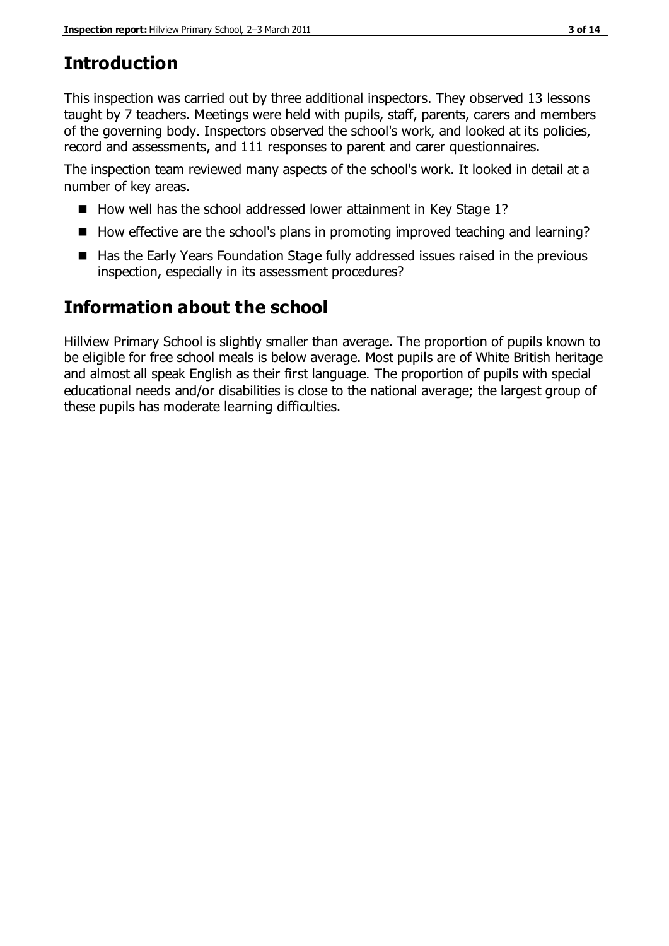# **Introduction**

This inspection was carried out by three additional inspectors. They observed 13 lessons taught by 7 teachers. Meetings were held with pupils, staff, parents, carers and members of the governing body. Inspectors observed the school's work, and looked at its policies, record and assessments, and 111 responses to parent and carer questionnaires.

The inspection team reviewed many aspects of the school's work. It looked in detail at a number of key areas.

- How well has the school addressed lower attainment in Key Stage 1?
- How effective are the school's plans in promoting improved teaching and learning?
- Has the Early Years Foundation Stage fully addressed issues raised in the previous inspection, especially in its assessment procedures?

# **Information about the school**

Hillview Primary School is slightly smaller than average. The proportion of pupils known to be eligible for free school meals is below average. Most pupils are of White British heritage and almost all speak English as their first language. The proportion of pupils with special educational needs and/or disabilities is close to the national average; the largest group of these pupils has moderate learning difficulties.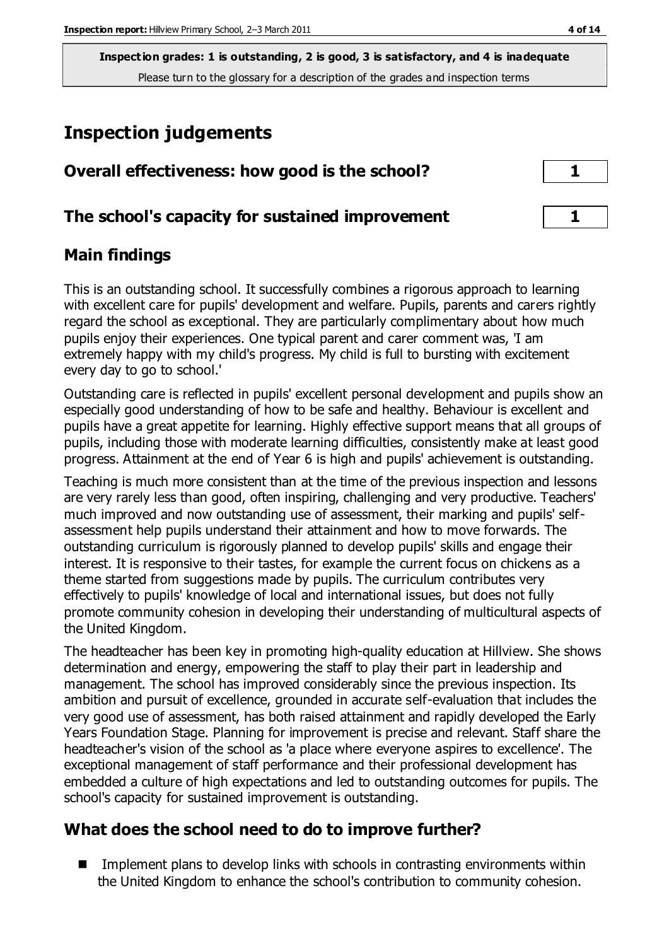# **Inspection judgements**

| Overall effectiveness: how good is the school?  | $\mathbf{1}$ |
|-------------------------------------------------|--------------|
| The school's capacity for sustained improvement |              |

## **Main findings**

This is an outstanding school. It successfully combines a rigorous approach to learning with excellent care for pupils' development and welfare. Pupils, parents and carers rightly regard the school as exceptional. They are particularly complimentary about how much pupils enjoy their experiences. One typical parent and carer comment was, 'I am extremely happy with my child's progress. My child is full to bursting with excitement every day to go to school.'

Outstanding care is reflected in pupils' excellent personal development and pupils show an especially good understanding of how to be safe and healthy. Behaviour is excellent and pupils have a great appetite for learning. Highly effective support means that all groups of pupils, including those with moderate learning difficulties, consistently make at least good progress. Attainment at the end of Year 6 is high and pupils' achievement is outstanding.

Teaching is much more consistent than at the time of the previous inspection and lessons are very rarely less than good, often inspiring, challenging and very productive. Teachers' much improved and now outstanding use of assessment, their marking and pupils' selfassessment help pupils understand their attainment and how to move forwards. The outstanding curriculum is rigorously planned to develop pupils' skills and engage their interest. It is responsive to their tastes, for example the current focus on chickens as a theme started from suggestions made by pupils. The curriculum contributes very effectively to pupils' knowledge of local and international issues, but does not fully promote community cohesion in developing their understanding of multicultural aspects of the United Kingdom.

The headteacher has been key in promoting high-quality education at Hillview. She shows determination and energy, empowering the staff to play their part in leadership and management. The school has improved considerably since the previous inspection. Its ambition and pursuit of excellence, grounded in accurate self-evaluation that includes the very good use of assessment, has both raised attainment and rapidly developed the Early Years Foundation Stage. Planning for improvement is precise and relevant. Staff share the headteacher's vision of the school as 'a place where everyone aspires to excellence'. The exceptional management of staff performance and their professional development has embedded a culture of high expectations and led to outstanding outcomes for pupils. The school's capacity for sustained improvement is outstanding.

# **What does the school need to do to improve further?**

 $\blacksquare$  Implement plans to develop links with schools in contrasting environments within the United Kingdom to enhance the school's contribution to community cohesion.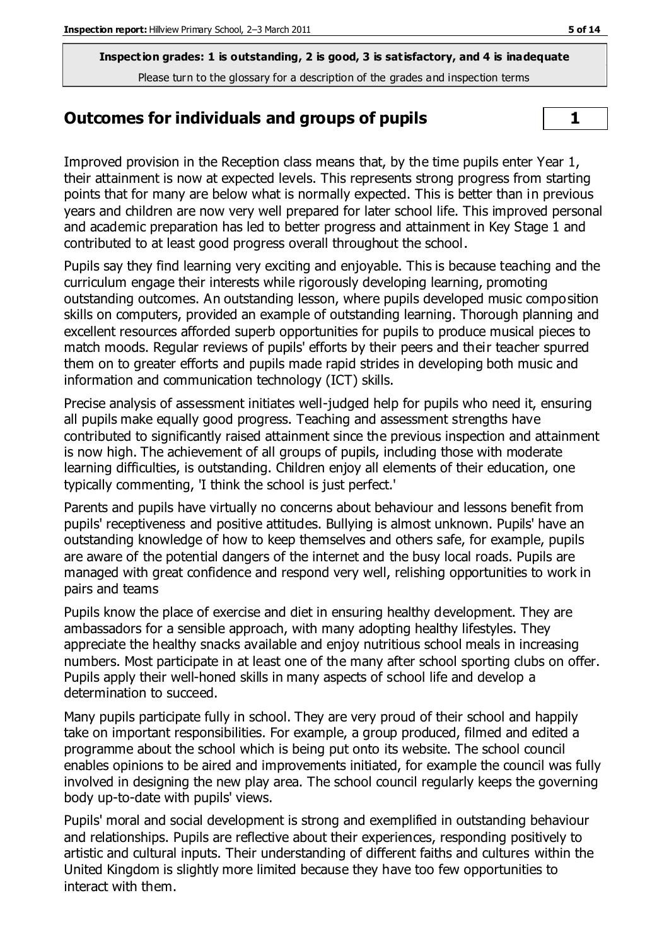## **Outcomes for individuals and groups of pupils 1**

Improved provision in the Reception class means that, by the time pupils enter Year 1, their attainment is now at expected levels. This represents strong progress from starting points that for many are below what is normally expected. This is better than in previous years and children are now very well prepared for later school life. This improved personal and academic preparation has led to better progress and attainment in Key Stage 1 and contributed to at least good progress overall throughout the school.

Pupils say they find learning very exciting and enjoyable. This is because teaching and the curriculum engage their interests while rigorously developing learning, promoting outstanding outcomes. An outstanding lesson, where pupils developed music composition skills on computers, provided an example of outstanding learning. Thorough planning and excellent resources afforded superb opportunities for pupils to produce musical pieces to match moods. Regular reviews of pupils' efforts by their peers and their teacher spurred them on to greater efforts and pupils made rapid strides in developing both music and information and communication technology (ICT) skills.

Precise analysis of assessment initiates well-judged help for pupils who need it, ensuring all pupils make equally good progress. Teaching and assessment strengths have contributed to significantly raised attainment since the previous inspection and attainment is now high. The achievement of all groups of pupils, including those with moderate learning difficulties, is outstanding. Children enjoy all elements of their education, one typically commenting, 'I think the school is just perfect.'

Parents and pupils have virtually no concerns about behaviour and lessons benefit from pupils' receptiveness and positive attitudes. Bullying is almost unknown. Pupils' have an outstanding knowledge of how to keep themselves and others safe, for example, pupils are aware of the potential dangers of the internet and the busy local roads. Pupils are managed with great confidence and respond very well, relishing opportunities to work in pairs and teams

Pupils know the place of exercise and diet in ensuring healthy development. They are ambassadors for a sensible approach, with many adopting healthy lifestyles. They appreciate the healthy snacks available and enjoy nutritious school meals in increasing numbers. Most participate in at least one of the many after school sporting clubs on offer. Pupils apply their well-honed skills in many aspects of school life and develop a determination to succeed.

Many pupils participate fully in school. They are very proud of their school and happily take on important responsibilities. For example, a group produced, filmed and edited a programme about the school which is being put onto its website. The school council enables opinions to be aired and improvements initiated, for example the council was fully involved in designing the new play area. The school council regularly keeps the governing body up-to-date with pupils' views.

Pupils' moral and social development is strong and exemplified in outstanding behaviour and relationships. Pupils are reflective about their experiences, responding positively to artistic and cultural inputs. Their understanding of different faiths and cultures within the United Kingdom is slightly more limited because they have too few opportunities to interact with them.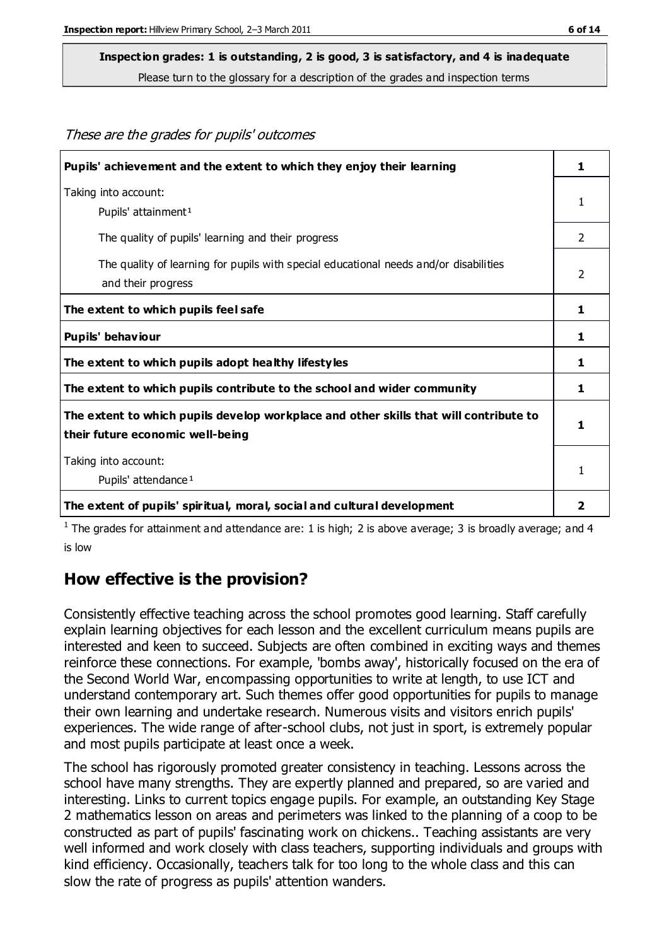These are the grades for pupils' outcomes

#### **Inspection grades: 1 is outstanding, 2 is good, 3 is satisfactory, and 4 is inadequate**

Please turn to the glossary for a description of the grades and inspection terms

| Pupils' achievement and the extent to which they enjoy their learning                                                     | 1 |
|---------------------------------------------------------------------------------------------------------------------------|---|
| Taking into account:<br>Pupils' attainment <sup>1</sup>                                                                   | 1 |
| The quality of pupils' learning and their progress                                                                        | 2 |
| The quality of learning for pupils with special educational needs and/or disabilities<br>and their progress               | 2 |
| The extent to which pupils feel safe                                                                                      | 1 |
| Pupils' behaviour                                                                                                         | 1 |
| The extent to which pupils adopt healthy lifestyles                                                                       | 1 |
| The extent to which pupils contribute to the school and wider community                                                   | 1 |
| The extent to which pupils develop workplace and other skills that will contribute to<br>their future economic well-being | 1 |
| Taking into account:<br>Pupils' attendance <sup>1</sup>                                                                   | 1 |
| The extent of pupils' spiritual, moral, social and cultural development                                                   | 2 |

<sup>1</sup> The grades for attainment and attendance are: 1 is high; 2 is above average; 3 is broadly average; and 4 is low

#### **How effective is the provision?**

Consistently effective teaching across the school promotes good learning. Staff carefully explain learning objectives for each lesson and the excellent curriculum means pupils are interested and keen to succeed. Subjects are often combined in exciting ways and themes reinforce these connections. For example, 'bombs away', historically focused on the era of the Second World War, encompassing opportunities to write at length, to use ICT and understand contemporary art. Such themes offer good opportunities for pupils to manage their own learning and undertake research. Numerous visits and visitors enrich pupils' experiences. The wide range of after-school clubs, not just in sport, is extremely popular and most pupils participate at least once a week.

The school has rigorously promoted greater consistency in teaching. Lessons across the school have many strengths. They are expertly planned and prepared, so are varied and interesting. Links to current topics engage pupils. For example, an outstanding Key Stage 2 mathematics lesson on areas and perimeters was linked to the planning of a coop to be constructed as part of pupils' fascinating work on chickens.. Teaching assistants are very well informed and work closely with class teachers, supporting individuals and groups with kind efficiency. Occasionally, teachers talk for too long to the whole class and this can slow the rate of progress as pupils' attention wanders.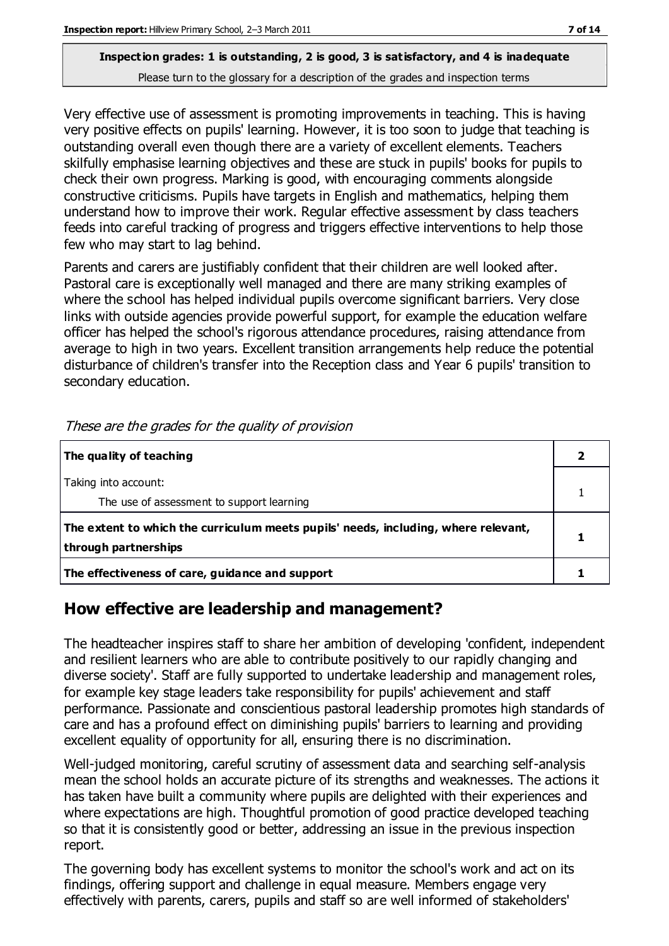Very effective use of assessment is promoting improvements in teaching. This is having very positive effects on pupils' learning. However, it is too soon to judge that teaching is outstanding overall even though there are a variety of excellent elements. Teachers skilfully emphasise learning objectives and these are stuck in pupils' books for pupils to check their own progress. Marking is good, with encouraging comments alongside constructive criticisms. Pupils have targets in English and mathematics, helping them understand how to improve their work. Regular effective assessment by class teachers feeds into careful tracking of progress and triggers effective interventions to help those few who may start to lag behind.

Parents and carers are justifiably confident that their children are well looked after. Pastoral care is exceptionally well managed and there are many striking examples of where the school has helped individual pupils overcome significant barriers. Very close links with outside agencies provide powerful support, for example the education welfare officer has helped the school's rigorous attendance procedures, raising attendance from average to high in two years. Excellent transition arrangements help reduce the potential disturbance of children's transfer into the Reception class and Year 6 pupils' transition to secondary education.

| The quality of teaching                                                                                    |  |
|------------------------------------------------------------------------------------------------------------|--|
| Taking into account:<br>The use of assessment to support learning                                          |  |
| The extent to which the curriculum meets pupils' needs, including, where relevant,<br>through partnerships |  |
| The effectiveness of care, guidance and support                                                            |  |

These are the grades for the quality of provision

#### **How effective are leadership and management?**

The headteacher inspires staff to share her ambition of developing 'confident, independent and resilient learners who are able to contribute positively to our rapidly changing and diverse society'. Staff are fully supported to undertake leadership and management roles, for example key stage leaders take responsibility for pupils' achievement and staff performance. Passionate and conscientious pastoral leadership promotes high standards of care and has a profound effect on diminishing pupils' barriers to learning and providing excellent equality of opportunity for all, ensuring there is no discrimination.

Well-judged monitoring, careful scrutiny of assessment data and searching self-analysis mean the school holds an accurate picture of its strengths and weaknesses. The actions it has taken have built a community where pupils are delighted with their experiences and where expectations are high. Thoughtful promotion of good practice developed teaching so that it is consistently good or better, addressing an issue in the previous inspection report.

The governing body has excellent systems to monitor the school's work and act on its findings, offering support and challenge in equal measure. Members engage very effectively with parents, carers, pupils and staff so are well informed of stakeholders'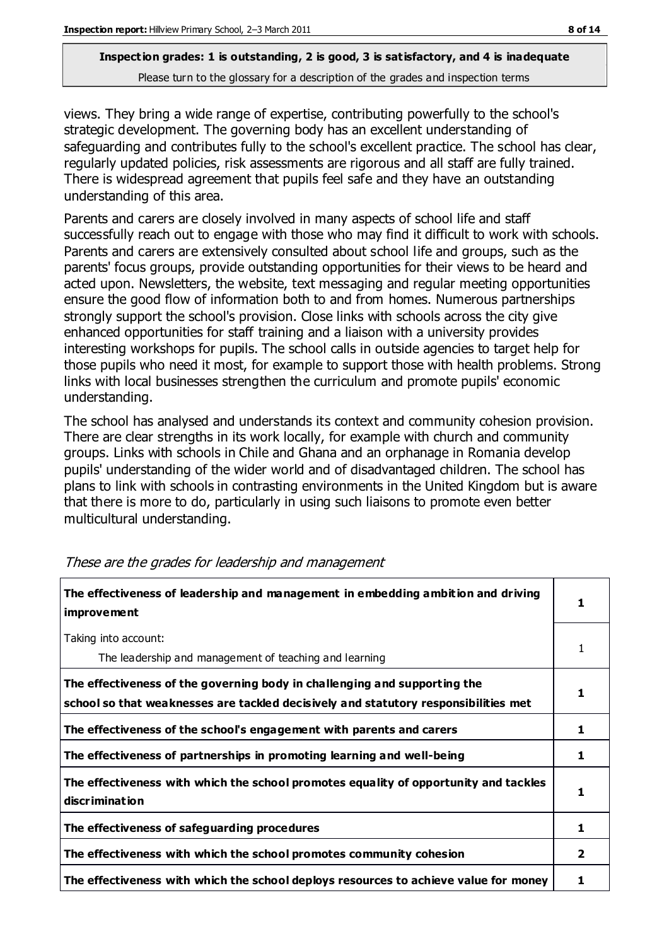views. They bring a wide range of expertise, contributing powerfully to the school's strategic development. The governing body has an excellent understanding of safeguarding and contributes fully to the school's excellent practice. The school has clear, regularly updated policies, risk assessments are rigorous and all staff are fully trained. There is widespread agreement that pupils feel safe and they have an outstanding understanding of this area.

Parents and carers are closely involved in many aspects of school life and staff successfully reach out to engage with those who may find it difficult to work with schools. Parents and carers are extensively consulted about school life and groups, such as the parents' focus groups, provide outstanding opportunities for their views to be heard and acted upon. Newsletters, the website, text messaging and regular meeting opportunities ensure the good flow of information both to and from homes. Numerous partnerships strongly support the school's provision. Close links with schools across the city give enhanced opportunities for staff training and a liaison with a university provides interesting workshops for pupils. The school calls in outside agencies to target help for those pupils who need it most, for example to support those with health problems. Strong links with local businesses strengthen the curriculum and promote pupils' economic understanding.

The school has analysed and understands its context and community cohesion provision. There are clear strengths in its work locally, for example with church and community groups. Links with schools in Chile and Ghana and an orphanage in Romania develop pupils' understanding of the wider world and of disadvantaged children. The school has plans to link with schools in contrasting environments in the United Kingdom but is aware that there is more to do, particularly in using such liaisons to promote even better multicultural understanding.

| The effectiveness of leadership and management in embedding ambition and driving<br><i>improvement</i>                                                           |   |
|------------------------------------------------------------------------------------------------------------------------------------------------------------------|---|
| Taking into account:<br>The leadership and management of teaching and learning                                                                                   | 1 |
| The effectiveness of the governing body in challenging and supporting the<br>school so that weaknesses are tackled decisively and statutory responsibilities met |   |
| The effectiveness of the school's engagement with parents and carers                                                                                             | 1 |
| The effectiveness of partnerships in promoting learning and well-being                                                                                           | 1 |
| The effectiveness with which the school promotes equality of opportunity and tackles<br>discrimination                                                           | 1 |
| The effectiveness of safeguarding procedures                                                                                                                     |   |
| The effectiveness with which the school promotes community cohesion                                                                                              | 2 |
| The effectiveness with which the school deploys resources to achieve value for money                                                                             |   |

These are the grades for leadership and management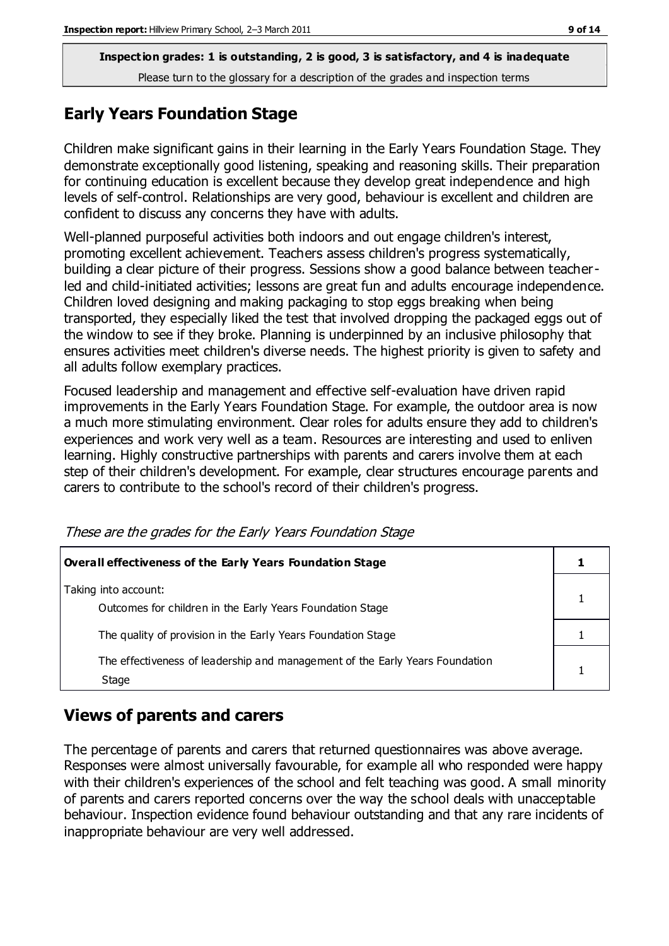## **Early Years Foundation Stage**

Children make significant gains in their learning in the Early Years Foundation Stage. They demonstrate exceptionally good listening, speaking and reasoning skills. Their preparation for continuing education is excellent because they develop great independence and high levels of self-control. Relationships are very good, behaviour is excellent and children are confident to discuss any concerns they have with adults.

Well-planned purposeful activities both indoors and out engage children's interest, promoting excellent achievement. Teachers assess children's progress systematically, building a clear picture of their progress. Sessions show a good balance between teacherled and child-initiated activities; lessons are great fun and adults encourage independence. Children loved designing and making packaging to stop eggs breaking when being transported, they especially liked the test that involved dropping the packaged eggs out of the window to see if they broke. Planning is underpinned by an inclusive philosophy that ensures activities meet children's diverse needs. The highest priority is given to safety and all adults follow exemplary practices.

Focused leadership and management and effective self-evaluation have driven rapid improvements in the Early Years Foundation Stage. For example, the outdoor area is now a much more stimulating environment. Clear roles for adults ensure they add to children's experiences and work very well as a team. Resources are interesting and used to enliven learning. Highly constructive partnerships with parents and carers involve them at each step of their children's development. For example, clear structures encourage parents and carers to contribute to the school's record of their children's progress.

| <b>Overall effectiveness of the Early Years Foundation Stage</b>                      |  |
|---------------------------------------------------------------------------------------|--|
| Taking into account:<br>Outcomes for children in the Early Years Foundation Stage     |  |
| The quality of provision in the Early Years Foundation Stage                          |  |
| The effectiveness of leadership and management of the Early Years Foundation<br>Stage |  |

These are the grades for the Early Years Foundation Stage

# **Views of parents and carers**

The percentage of parents and carers that returned questionnaires was above average. Responses were almost universally favourable, for example all who responded were happy with their children's experiences of the school and felt teaching was good. A small minority of parents and carers reported concerns over the way the school deals with unacceptable behaviour. Inspection evidence found behaviour outstanding and that any rare incidents of inappropriate behaviour are very well addressed.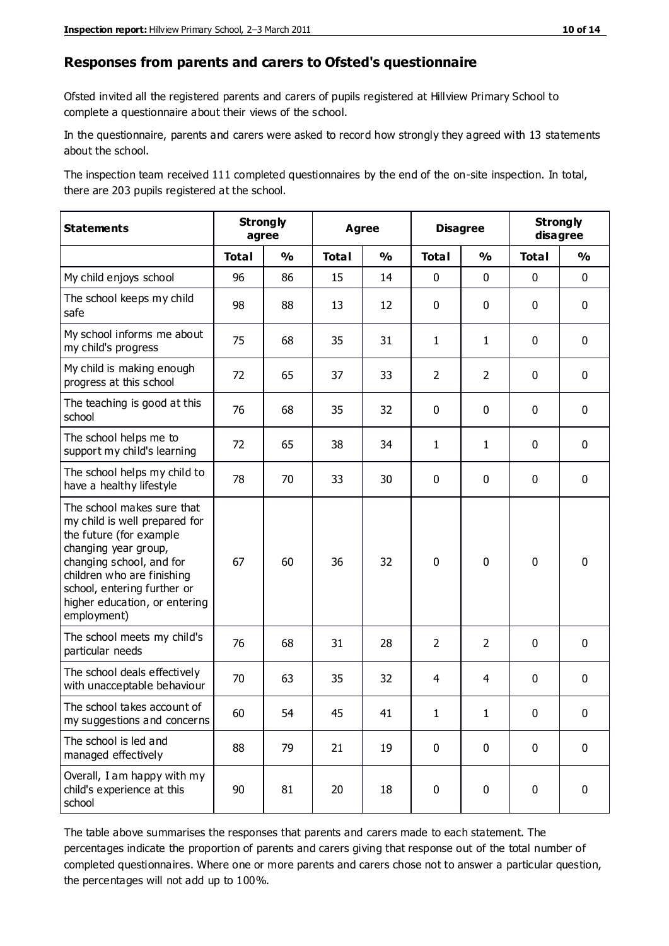#### **Responses from parents and carers to Ofsted's questionnaire**

Ofsted invited all the registered parents and carers of pupils registered at Hillview Primary School to complete a questionnaire about their views of the school.

In the questionnaire, parents and carers were asked to record how strongly they agreed with 13 statements about the school.

The inspection team received 111 completed questionnaires by the end of the on-site inspection. In total, there are 203 pupils registered at the school.

| <b>Statements</b>                                                                                                                                                                                                                                       | <b>Strongly</b><br>agree |               | <b>Agree</b> |               |                | <b>Disagree</b> |              | <b>Strongly</b><br>disagree |  |
|---------------------------------------------------------------------------------------------------------------------------------------------------------------------------------------------------------------------------------------------------------|--------------------------|---------------|--------------|---------------|----------------|-----------------|--------------|-----------------------------|--|
|                                                                                                                                                                                                                                                         | <b>Total</b>             | $\frac{1}{2}$ | <b>Total</b> | $\frac{0}{0}$ | <b>Total</b>   | $\frac{0}{0}$   | <b>Total</b> | $\frac{0}{0}$               |  |
| My child enjoys school                                                                                                                                                                                                                                  | 96                       | 86            | 15           | 14            | $\pmb{0}$      | $\mathbf 0$     | $\mathbf 0$  | $\mathbf 0$                 |  |
| The school keeps my child<br>safe                                                                                                                                                                                                                       | 98                       | 88            | 13           | 12            | 0              | $\mathbf 0$     | $\mathbf 0$  | $\mathbf 0$                 |  |
| My school informs me about<br>my child's progress                                                                                                                                                                                                       | 75                       | 68            | 35           | 31            | $\mathbf{1}$   | $\mathbf{1}$    | $\mathbf 0$  | $\mathbf 0$                 |  |
| My child is making enough<br>progress at this school                                                                                                                                                                                                    | 72                       | 65            | 37           | 33            | $\overline{2}$ | $\overline{2}$  | $\mathbf 0$  | $\mathbf 0$                 |  |
| The teaching is good at this<br>school                                                                                                                                                                                                                  | 76                       | 68            | 35           | 32            | 0              | $\mathbf 0$     | $\mathbf 0$  | $\mathbf 0$                 |  |
| The school helps me to<br>support my child's learning                                                                                                                                                                                                   | 72                       | 65            | 38           | 34            | 1              | 1               | $\mathbf 0$  | $\mathbf 0$                 |  |
| The school helps my child to<br>have a healthy lifestyle                                                                                                                                                                                                | 78                       | 70            | 33           | 30            | 0              | $\mathbf 0$     | $\mathbf 0$  | $\mathbf 0$                 |  |
| The school makes sure that<br>my child is well prepared for<br>the future (for example<br>changing year group,<br>changing school, and for<br>children who are finishing<br>school, entering further or<br>higher education, or entering<br>employment) | 67                       | 60            | 36           | 32            | $\pmb{0}$      | $\mathbf 0$     | $\mathbf 0$  | $\mathbf 0$                 |  |
| The school meets my child's<br>particular needs                                                                                                                                                                                                         | 76                       | 68            | 31           | 28            | $\overline{2}$ | $\overline{2}$  | $\mathbf 0$  | $\mathbf 0$                 |  |
| The school deals effectively<br>with unacceptable behaviour                                                                                                                                                                                             | 70                       | 63            | 35           | 32            | 4              | 4               | $\mathbf 0$  | $\pmb{0}$                   |  |
| The school takes account of<br>my suggestions and concerns                                                                                                                                                                                              | 60                       | 54            | 45           | 41            | 1              | 1               | $\Omega$     | 0                           |  |
| The school is led and<br>managed effectively                                                                                                                                                                                                            | 88                       | 79            | 21           | 19            | $\mathbf 0$    | $\mathbf 0$     | $\mathbf 0$  | $\mathbf 0$                 |  |
| Overall, I am happy with my<br>child's experience at this<br>school                                                                                                                                                                                     | 90                       | 81            | 20           | 18            | $\pmb{0}$      | $\mathbf 0$     | $\mathbf 0$  | $\pmb{0}$                   |  |

The table above summarises the responses that parents and carers made to each statement. The percentages indicate the proportion of parents and carers giving that response out of the total number of completed questionnaires. Where one or more parents and carers chose not to answer a particular question, the percentages will not add up to 100%.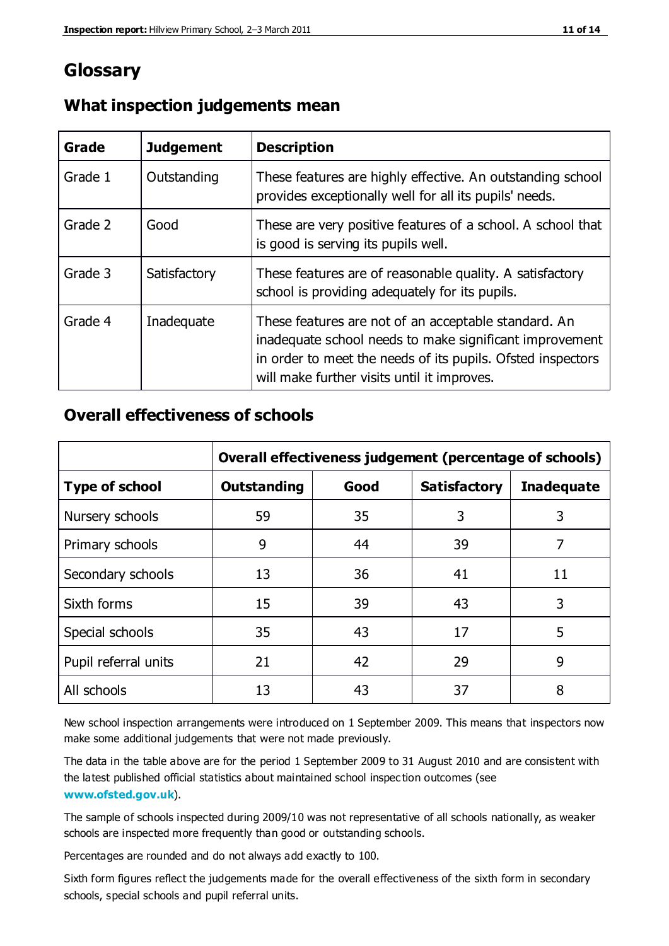# **Glossary**

| Grade   | <b>Judgement</b> | <b>Description</b>                                                                                                                                                                                                            |
|---------|------------------|-------------------------------------------------------------------------------------------------------------------------------------------------------------------------------------------------------------------------------|
| Grade 1 | Outstanding      | These features are highly effective. An outstanding school<br>provides exceptionally well for all its pupils' needs.                                                                                                          |
| Grade 2 | Good             | These are very positive features of a school. A school that<br>is good is serving its pupils well.                                                                                                                            |
| Grade 3 | Satisfactory     | These features are of reasonable quality. A satisfactory<br>school is providing adequately for its pupils.                                                                                                                    |
| Grade 4 | Inadequate       | These features are not of an acceptable standard. An<br>inadequate school needs to make significant improvement<br>in order to meet the needs of its pupils. Ofsted inspectors<br>will make further visits until it improves. |

## **What inspection judgements mean**

## **Overall effectiveness of schools**

|                       | Overall effectiveness judgement (percentage of schools) |      |                     |                   |
|-----------------------|---------------------------------------------------------|------|---------------------|-------------------|
| <b>Type of school</b> | <b>Outstanding</b>                                      | Good | <b>Satisfactory</b> | <b>Inadequate</b> |
| Nursery schools       | 59                                                      | 35   | 3                   | 3                 |
| Primary schools       | 9                                                       | 44   | 39                  | 7                 |
| Secondary schools     | 13                                                      | 36   | 41                  | 11                |
| Sixth forms           | 15                                                      | 39   | 43                  | 3                 |
| Special schools       | 35                                                      | 43   | 17                  | 5                 |
| Pupil referral units  | 21                                                      | 42   | 29                  | 9                 |
| All schools           | 13                                                      | 43   | 37                  | 8                 |

New school inspection arrangements were introduced on 1 September 2009. This means that inspectors now make some additional judgements that were not made previously.

The data in the table above are for the period 1 September 2009 to 31 August 2010 and are consistent with the latest published official statistics about maintained school inspec tion outcomes (see **[www.ofsted.gov.uk](http://www.ofsted.gov.uk/)**).

The sample of schools inspected during 2009/10 was not representative of all schools nationally, as weaker schools are inspected more frequently than good or outstanding schools.

Percentages are rounded and do not always add exactly to 100.

Sixth form figures reflect the judgements made for the overall effectiveness of the sixth form in secondary schools, special schools and pupil referral units.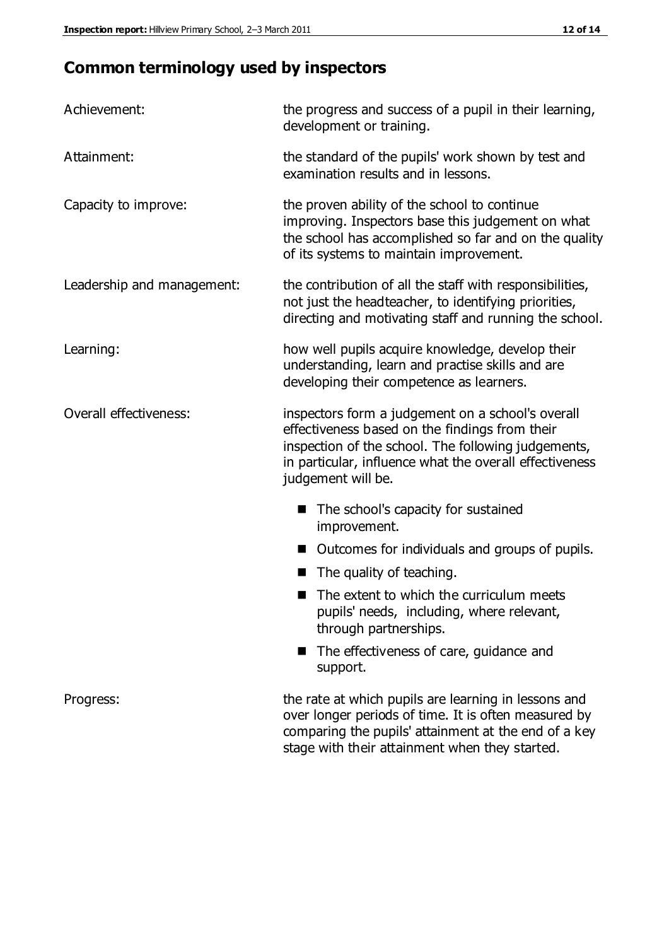# **Common terminology used by inspectors**

| Achievement:               | the progress and success of a pupil in their learning,<br>development or training.                                                                                                                                                          |  |  |
|----------------------------|---------------------------------------------------------------------------------------------------------------------------------------------------------------------------------------------------------------------------------------------|--|--|
| Attainment:                | the standard of the pupils' work shown by test and<br>examination results and in lessons.                                                                                                                                                   |  |  |
| Capacity to improve:       | the proven ability of the school to continue<br>improving. Inspectors base this judgement on what<br>the school has accomplished so far and on the quality<br>of its systems to maintain improvement.                                       |  |  |
| Leadership and management: | the contribution of all the staff with responsibilities,<br>not just the headteacher, to identifying priorities,<br>directing and motivating staff and running the school.                                                                  |  |  |
| Learning:                  | how well pupils acquire knowledge, develop their<br>understanding, learn and practise skills and are<br>developing their competence as learners.                                                                                            |  |  |
| Overall effectiveness:     | inspectors form a judgement on a school's overall<br>effectiveness based on the findings from their<br>inspection of the school. The following judgements,<br>in particular, influence what the overall effectiveness<br>judgement will be. |  |  |
|                            | The school's capacity for sustained<br>improvement.                                                                                                                                                                                         |  |  |
|                            | Outcomes for individuals and groups of pupils.                                                                                                                                                                                              |  |  |
|                            | The quality of teaching.                                                                                                                                                                                                                    |  |  |
|                            | The extent to which the curriculum meets<br>pupils' needs, including, where relevant,<br>through partnerships.                                                                                                                              |  |  |
|                            | The effectiveness of care, guidance and<br>support.                                                                                                                                                                                         |  |  |
| Progress:                  | the rate at which pupils are learning in lessons and<br>over longer periods of time. It is often measured by<br>comparing the pupils' attainment at the end of a key                                                                        |  |  |

stage with their attainment when they started.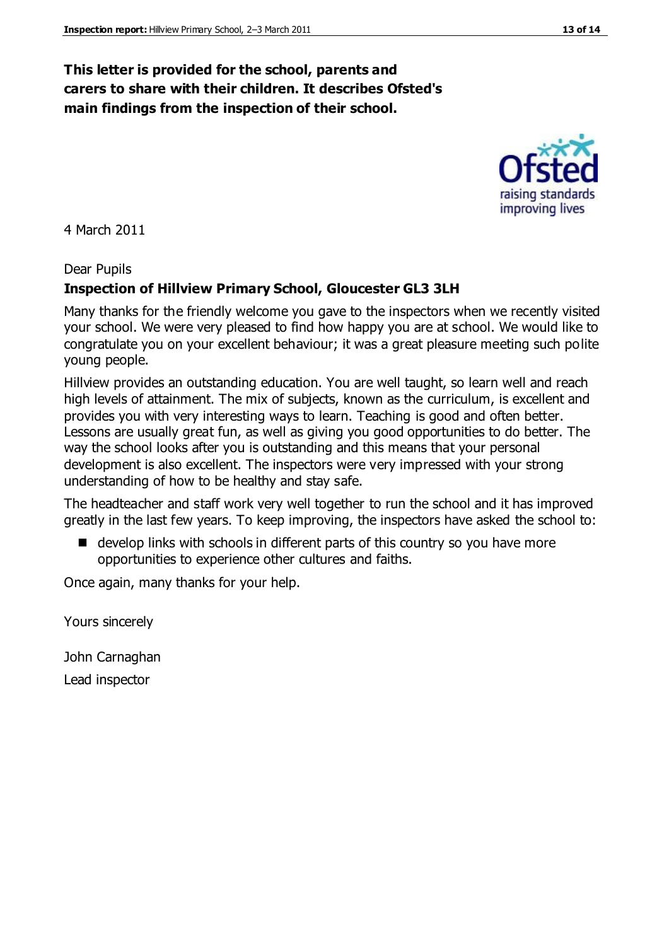# **This letter is provided for the school, parents and carers to share with their children. It describes Ofsted's main findings from the inspection of their school.**

4 March 2011

#### Dear Pupils

# **Inspection of Hillview Primary School, Gloucester GL3 3LH**

Many thanks for the friendly welcome you gave to the inspectors when we recently visited your school. We were very pleased to find how happy you are at school. We would like to congratulate you on your excellent behaviour; it was a great pleasure meeting such polite young people.

Hillview provides an outstanding education. You are well taught, so learn well and reach high levels of attainment. The mix of subjects, known as the curriculum, is excellent and provides you with very interesting ways to learn. Teaching is good and often better. Lessons are usually great fun, as well as giving you good opportunities to do better. The way the school looks after you is outstanding and this means that your personal development is also excellent. The inspectors were very impressed with your strong understanding of how to be healthy and stay safe.

The headteacher and staff work very well together to run the school and it has improved greatly in the last few years. To keep improving, the inspectors have asked the school to:

■ develop links with schools in different parts of this country so you have more opportunities to experience other cultures and faiths.

Once again, many thanks for your help.

Yours sincerely

John Carnaghan

Lead inspector



raising standards improving lives